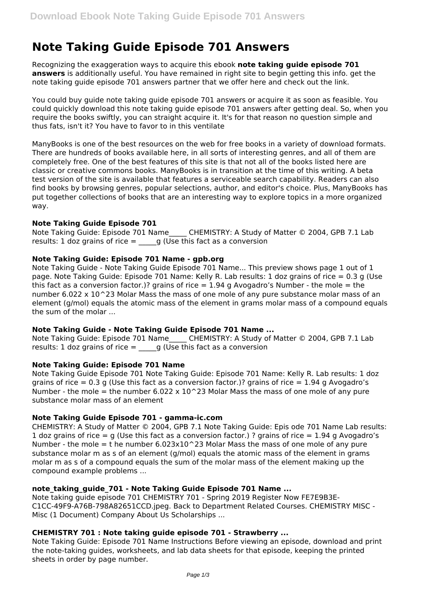# **Note Taking Guide Episode 701 Answers**

Recognizing the exaggeration ways to acquire this ebook **note taking guide episode 701 answers** is additionally useful. You have remained in right site to begin getting this info. get the note taking guide episode 701 answers partner that we offer here and check out the link.

You could buy guide note taking guide episode 701 answers or acquire it as soon as feasible. You could quickly download this note taking guide episode 701 answers after getting deal. So, when you require the books swiftly, you can straight acquire it. It's for that reason no question simple and thus fats, isn't it? You have to favor to in this ventilate

ManyBooks is one of the best resources on the web for free books in a variety of download formats. There are hundreds of books available here, in all sorts of interesting genres, and all of them are completely free. One of the best features of this site is that not all of the books listed here are classic or creative commons books. ManyBooks is in transition at the time of this writing. A beta test version of the site is available that features a serviceable search capability. Readers can also find books by browsing genres, popular selections, author, and editor's choice. Plus, ManyBooks has put together collections of books that are an interesting way to explore topics in a more organized way.

# **Note Taking Guide Episode 701**

Note Taking Guide: Episode 701 Name CHEMISTRY: A Study of Matter © 2004, GPB 7.1 Lab results: 1 doz grains of rice  $=$   $q$  (Use this fact as a conversion

# **Note Taking Guide: Episode 701 Name - gpb.org**

Note Taking Guide - Note Taking Guide Episode 701 Name... This preview shows page 1 out of 1 page. Note Taking Guide: Episode 701 Name: Kelly R. Lab results: 1 doz grains of rice = 0.3 g (Use this fact as a conversion factor.)? grains of rice  $= 1.94$  g Avogadro's Number - the mole  $=$  the number 6.022  $\times$  10^23 Molar Mass the mass of one mole of any pure substance molar mass of an element (g/mol) equals the atomic mass of the element in grams molar mass of a compound equals the sum of the molar ...

# **Note Taking Guide - Note Taking Guide Episode 701 Name ...**

Note Taking Guide: Episode 701 Name CHEMISTRY: A Study of Matter © 2004, GPB 7.1 Lab results: 1 doz grains of rice  $=$   $q$  (Use this fact as a conversion

# **Note Taking Guide: Episode 701 Name**

Note Taking Guide Episode 701 Note Taking Guide: Episode 701 Name: Kelly R. Lab results: 1 doz grains of rice  $= 0.3$  g (Use this fact as a conversion factor.)? grains of rice  $= 1.94$  g Avogadro's Number - the mole = the number  $6.022 \times 10^23$  Molar Mass the mass of one mole of any pure substance molar mass of an element

#### **Note Taking Guide Episode 701 - gamma-ic.com**

CHEMISTRY: A Study of Matter © 2004, GPB 7.1 Note Taking Guide: Epis ode 701 Name Lab results: 1 doz grains of rice  $=$  g (Use this fact as a conversion factor.) ? grains of rice  $=$  1.94 g Avogadro's Number - the mole  $=$  t he number 6.023x10 $^{\circ}$ 23 Molar Mass the mass of one mole of any pure substance molar m as s of an element (g/mol) equals the atomic mass of the element in grams molar m as s of a compound equals the sum of the molar mass of the element making up the compound example problems ...

# **note\_taking\_guide\_701 - Note Taking Guide Episode 701 Name ...**

Note taking guide episode 701 CHEMISTRY 701 - Spring 2019 Register Now FE7E9B3E-C1CC-49F9-A76B-798A82651CCD.jpeg. Back to Department Related Courses. CHEMISTRY MISC - Misc (1 Document) Company About Us Scholarships ...

# **CHEMISTRY 701 : Note taking guide episode 701 - Strawberry ...**

Note Taking Guide: Episode 701 Name Instructions Before viewing an episode, download and print the note-taking guides, worksheets, and lab data sheets for that episode, keeping the printed sheets in order by page number.